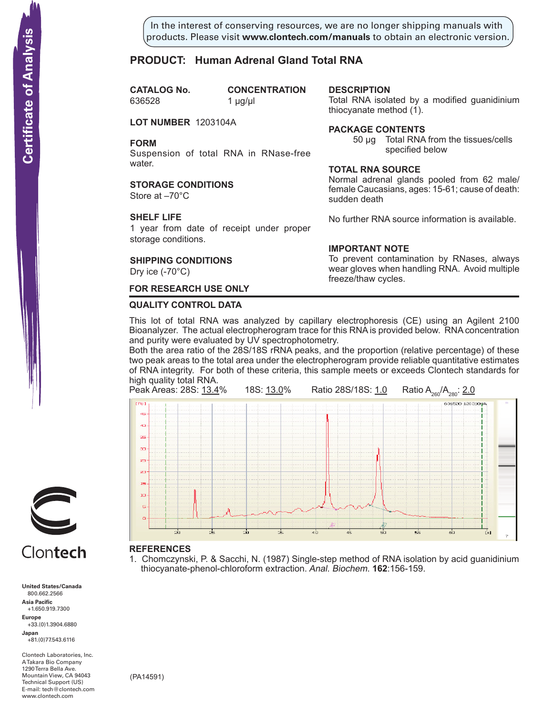In the interest of conserving resources, we are no longer shipping manuals with products. Please visit **www.clontech.com/manuals** to obtain an electronic version.

**description**

thiocyanate method  $(1)$ .

**Package Contents**

**Total RNA source**

**IMPORTANT NOTE**

freeze/thaw cycles.

sudden death

Total RNA isolated by a modified guanidinium

specified below

Normal adrenal glands pooled from 62 male/ female Caucasians, ages: 15-61; cause of death:

No further RNA source information is available.

To prevent contamination by RNases, always wear gloves when handling RNA. Avoid multiple

50 µg Total RNA from the tissues/cells

# **PRODUCT: Human Adrenal Gland Total RNA**

**CATALOG** No. 636528 1 µg/µl

**CONCENTRATION** 

**LOT NUMBER** 1203104A

**FORM**

Suspension of total RNA in RNase-free water.

**STORAGE CONDITIONS**

Store at –70°C

# **SHELF LIFE**

1 year from date of receipt under proper storage conditions.

# **SHIPPING CONDITIONS**

Dry ice (-70°C)

# **FOR RESEARCH USE ONLY**

## **QUALITY CONTROL DATA**

This lot of total RNA was analyzed by capillary electrophoresis (CE) using an Agilent 2100 Bioanalyzer. The actual electropherogram trace for this RNA is provided below. RNA concentration and purity were evaluated by UV spectrophotometry.

Both the area ratio of the 28S/18S rRNA peaks, and the proportion (relative percentage) of these two peak areas to the total area under the electropherogram provide reliable quantitative estimates of RNA integrity. For both of these criteria, this sample meets or exceeds Clontech standards for high quality total RNA.



1. Chomczynski, P. & Sacchi, N. (1987) Single-step method of RNA isolation by acid guanidinium

thiocyanate-phenol-chloroform extraction. Anal. Biochem. **162**:156-159.

# Clontech

**United States/Canada** 800.662.2566 **Asia Pacific** +1.650.919.7300 **Europe** +33.(0)1.3904.6880 **Japan** +81.(0)77.543.6116 **Solution Control Control Control Control Control Control Control Control Control Control Control Control Control Control Control Control Control Control Control Control Control Control Control Control Control Control Cont** 

Clontech Laboratories, Inc. A Takara Bio Company 1290 Terra Bella Ave. Mountain View, CA 94043 Technical Support (US) E-mail: tech@clontech.com<br>www.clontech.com

(PA14591)

# **Certificate of Analysis**